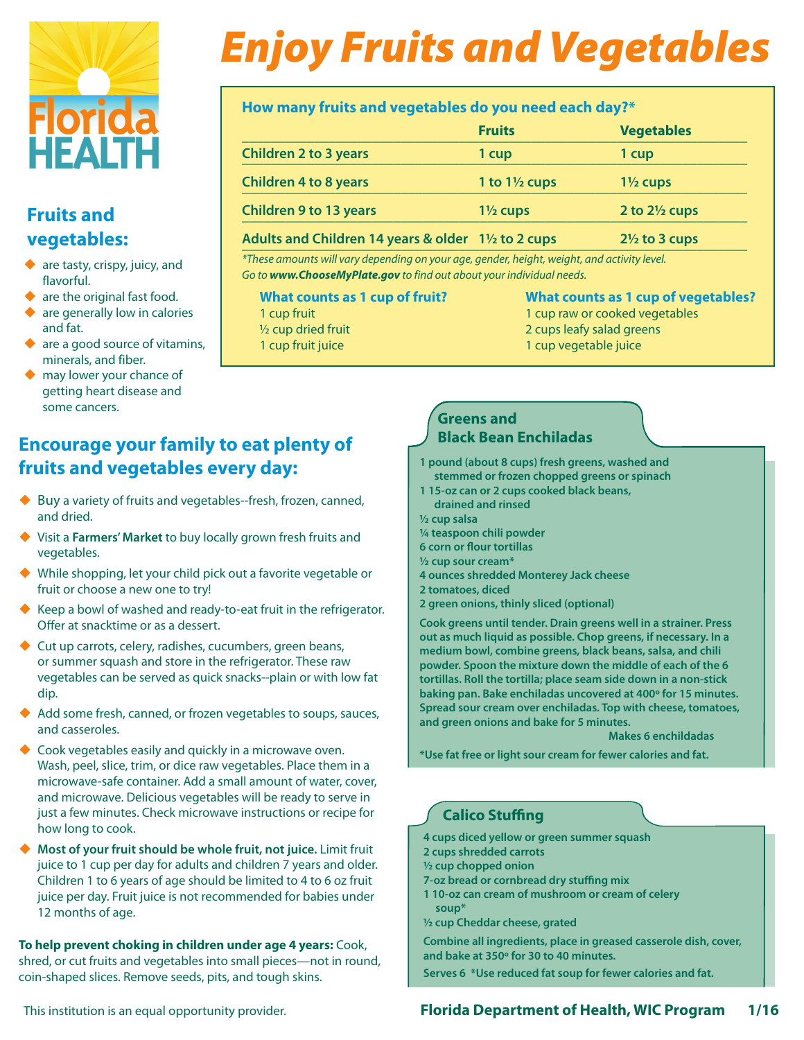

## **Fruits and vegetables:**

- ◆ are tasty, crispy, juicy, and flavorful.
- ◆ are the original fast food.
- $\blacklozenge$  are generally low in calories and fat.
- $\bullet$  are a good source of vitamins, minerals, and fiber.
- $\blacklozenge$  may lower your chance of getting heart disease and some cancers.

# *Enjoy Fruits and Vegetables*

### **How many fruits and vegetables do you need each day?\***

|                                                     | <b>Fruits</b>            | <b>Vegetables</b>        |
|-----------------------------------------------------|--------------------------|--------------------------|
| <b>Children 2 to 3 years</b>                        | 1 cup                    | 1 cup                    |
| <b>Children 4 to 8 years</b>                        | 1 to $1\frac{1}{2}$ cups | $1\frac{1}{2}$ cups      |
| <b>Children 9 to 13 years</b>                       | $1\frac{1}{2}$ cups      | 2 to $2\frac{1}{2}$ cups |
| Adults and Children 14 years & older 11/2 to 2 cups |                          | $2\frac{1}{2}$ to 3 cups |

*\*These amounts will vary depending on your age, gender, height, weight, and activity level. Go to www.ChooseMyPlate.gov to find out about your individual needs.*

| What counts as 1 cup of fruit? |
|--------------------------------|
| 1 cup fruit                    |
| $\frac{1}{2}$ cup dried fruit  |
| 1 cup fruit iuice              |

#### **What counts as 1 cup of vegetables?**

1 cup raw or cooked vegetables 2 cups leafy salad greens 1 cup vegetable juice

## **Encourage your family to eat plenty of fruits and vegetables every day:**

- ◆ Buy a variety of fruits and vegetables--fresh, frozen, canned, and dried.
- Visit a **Farmers' Market** to buy locally grown fresh fruits and vegetables.
- While shopping, let your child pick out a favorite vegetable or fruit or choose a new one to try!
- $\blacklozenge$  Keep a bowl of washed and ready-to-eat fruit in the refrigerator. Offer at snacktime or as a dessert.
- ◆ Cut up carrots, celery, radishes, cucumbers, green beans, or summer squash and store in the refrigerator. These raw vegetables can be served as quick snacks--plain or with low fat dip.
- Add some fresh, canned, or frozen vegetables to soups, sauces, and casseroles.
- ◆ Cook vegetables easily and quickly in a microwave oven. Wash, peel, slice, trim, or dice raw vegetables. Place them in a microwave-safe container. Add a small amount of water, cover, and microwave. Delicious vegetables will be ready to serve in just a few minutes. Check microwave instructions or recipe for how long to cook.
- **Most of your fruit should be whole fruit, not juice.** Limit fruit juice to 1 cup per day for adults and children 7 years and older. Children 1 to 6 years of age should be limited to 4 to 6 oz fruit juice per day. Fruit juice is not recommended for babies under 12 months of age.

**To help prevent choking in children under age 4 years:** Cook, shred, or cut fruits and vegetables into small pieces—not in round, coin-shaped slices. Remove seeds, pits, and tough skins.

#### **Greens and Black Bean Enchiladas**

- **1 pound (about 8 cups) fresh greens, washed and stemmed or frozen chopped greens or spinach**
- **1 15-oz can or 2 cups cooked black beans, drained and rinsed**

**½ cup salsa**

- **¼ teaspoon chili powder**
- **6 corn or flour tortillas**
- **½ cup sour cream\***
- **4 ounces shredded Monterey Jack cheese**
- **2 tomatoes, diced**
- **2 green onions, thinly sliced (optional)**

**Cook greens until tender. Drain greens well in a strainer. Press out as much liquid as possible. Chop greens, if necessary. In a medium bowl, combine greens, black beans, salsa, and chili powder. Spoon the mixture down the middle of each of the 6 tortillas. Roll the tortilla; place seam side down in a non-stick baking pan. Bake enchiladas uncovered at 400º for 15 minutes. Spread sour cream over enchiladas. Top with cheese, tomatoes, and green onions and bake for 5 minutes.** 

#### **Makes 6 enchildadas**

**\*Use fat free or light sour cream for fewer calories and fat.**

## **Calico Stuffing**

- **4 cups diced yellow or green summer squash**
- **2 cups shredded carrots**
- **½ cup chopped onion**
- **7-oz bread or cornbread dry stuffing mix**
- **1 10-oz can cream of mushroom or cream of celery soup\***
- **½ cup Cheddar cheese, grated**

**Combine all ingredients, place in greased casserole dish, cover, and bake at 350º for 30 to 40 minutes.**

**Serves 6 \*Use reduced fat soup for fewer calories and fat.**